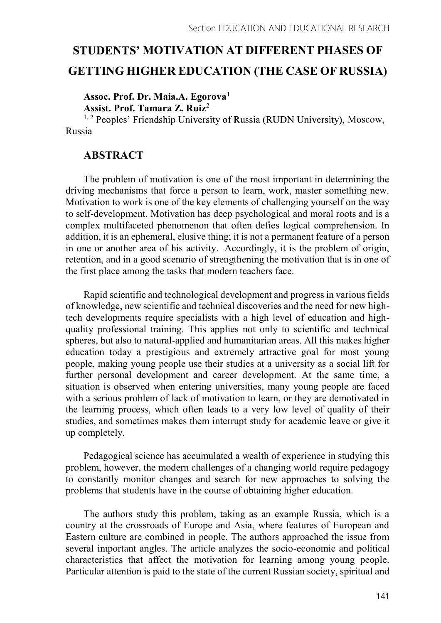# STUDENTS' MOTIVATION AT DIFFERENT PHASES OF GETTING HIGHER EDUCATION (THE CASE OF RUSSIA)

### Assoc. Prof. Dr. Maia.A. Egorova<sup>1</sup> Assist. Prof. Tamara Z. Ruiz2

<sup>1, 2</sup> Peoples' Friendship University of Russia (RUDN University), Moscow, Russia

## ABSTRACT

The problem of motivation is one of the most important in determining the driving mechanisms that force a person to learn, work, master something new. Motivation to work is one of the key elements of challenging yourself on the way to self-development. Motivation has deep psychological and moral roots and is a complex multifaceted phenomenon that often defies logical comprehension. In addition, it is an ephemeral, elusive thing; it is not a permanent feature of a person in one or another area of his activity. Accordingly, it is the problem of origin, retention, and in a good scenario of strengthening the motivation that is in one of the first place among the tasks that modern teachers face.

Rapid scientific and technological development and progress in various fields of knowledge, new scientific and technical discoveries and the need for new hightech developments require specialists with a high level of education and highquality professional training. This applies not only to scientific and technical spheres, but also to natural-applied and humanitarian areas. All this makes higher education today a prestigious and extremely attractive goal for most young people, making young people use their studies at a university as a social lift for further personal development and career development. At the same time, a situation is observed when entering universities, many young people are faced with a serious problem of lack of motivation to learn, or they are demotivated in the learning process, which often leads to a very low level of quality of their studies, and sometimes makes them interrupt study for academic leave or give it up completely.

Pedagogical science has accumulated a wealth of experience in studying this problem, however, the modern challenges of a changing world require pedagogy to constantly monitor changes and search for new approaches to solving the problems that students have in the course of obtaining higher education.

The authors study this problem, taking as an example Russia, which is a country at the crossroads of Europe and Asia, where features of European and Eastern culture are combined in people. The authors approached the issue from several important angles. The article analyzes the socio-economic and political characteristics that affect the motivation for learning among young people. Particular attention is paid to the state of the current Russian society, spiritual and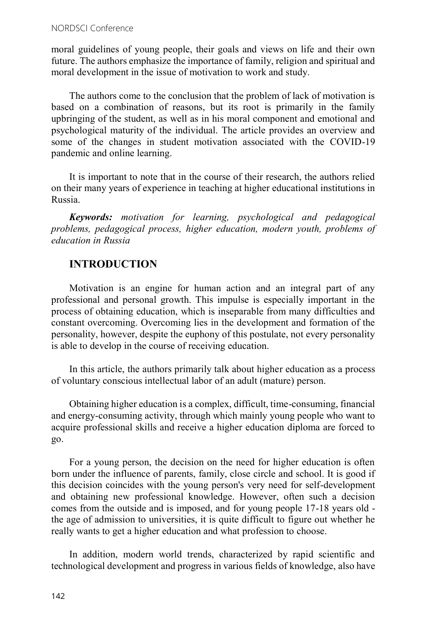moral guidelines of young people, their goals and views on life and their own future. The authors emphasize the importance of family, religion and spiritual and moral development in the issue of motivation to work and study.

The authors come to the conclusion that the problem of lack of motivation is based on a combination of reasons, but its root is primarily in the family upbringing of the student, as well as in his moral component and emotional and psychological maturity of the individual. The article provides an overview and some of the changes in student motivation associated with the COVID-19 pandemic and online learning.

It is important to note that in the course of their research, the authors relied on their many years of experience in teaching at higher educational institutions in Russia.

Keywords: motivation for learning, psychological and pedagogical problems, pedagogical process, higher education, modern youth, problems of education in Russia

# INTRODUCTION

Motivation is an engine for human action and an integral part of any professional and personal growth. This impulse is especially important in the process of obtaining education, which is inseparable from many difficulties and constant overcoming. Overcoming lies in the development and formation of the personality, however, despite the euphony of this postulate, not every personality is able to develop in the course of receiving education.

In this article, the authors primarily talk about higher education as a process of voluntary conscious intellectual labor of an adult (mature) person.

Obtaining higher education is a complex, difficult, time-consuming, financial and energy-consuming activity, through which mainly young people who want to acquire professional skills and receive a higher education diploma are forced to go.

For a young person, the decision on the need for higher education is often born under the influence of parents, family, close circle and school. It is good if this decision coincides with the young person's very need for self-development and obtaining new professional knowledge. However, often such a decision comes from the outside and is imposed, and for young people 17-18 years old the age of admission to universities, it is quite difficult to figure out whether he really wants to get a higher education and what profession to choose.

In addition, modern world trends, characterized by rapid scientific and technological development and progress in various fields of knowledge, also have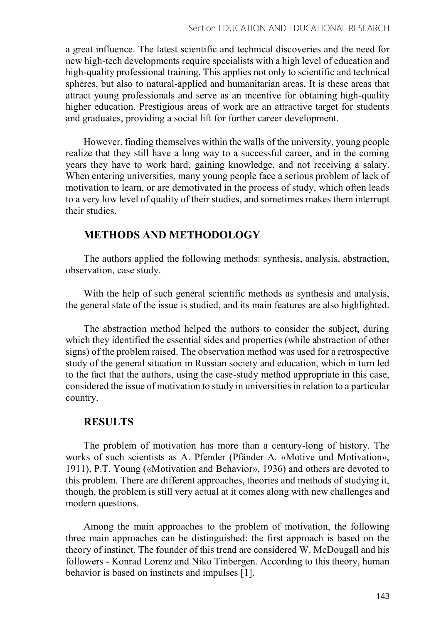a great influence. The latest scientific and technical discoveries and the need for new high-tech developments require specialists with a high level of education and high-quality professional training. This applies not only to scientific and technical spheres, but also to natural-applied and humanitarian areas. It is these areas that attract young professionals and serve as an incentive for obtaining high-quality higher education. Prestigious areas of work are an attractive target for students and graduates, providing a social lift for further career development.

However, finding themselves within the walls of the university, young people realize that they still have a long way to a successful career, and in the coming years they have to work hard, gaining knowledge, and not receiving a salary. When entering universities, many young people face a serious problem of lack of motivation to learn, or are demotivated in the process of study, which often leads to a very low level of quality of their studies, and sometimes makes them interrupt their studies.

## METHODS AND METHODOLOGY

The authors applied the following methods: synthesis, analysis, abstraction, observation, case study.

With the help of such general scientific methods as synthesis and analysis, the general state of the issue is studied, and its main features are also highlighted.

The abstraction method helped the authors to consider the subject, during which they identified the essential sides and properties (while abstraction of other signs) of the problem raised. The observation method was used for a retrospective study of the general situation in Russian society and education, which in turn led to the fact that the authors, using the case-study method appropriate in this case, considered the issue of motivation to study in universities in relation to a particular country.

# RESULTS

The problem of motivation has more than a century-long of history. The works of such scientists as A. Pfender (Pfänder A. «Motive und Motivation», 1911), P.T. Young («Motivation and Behavior», 1936) and others are devoted to this problem. There are different approaches, theories and methods of studying it, though, the problem is still very actual at it comes along with new challenges and modern questions.

Among the main approaches to the problem of motivation, the following three main approaches can be distinguished: the first approach is based on the theory of instinct. The founder of this trend are considered W. McDougall and his followers - Konrad Lorenz and Niko Tinbergen. According to this theory, human behavior is based on instincts and impulses [1].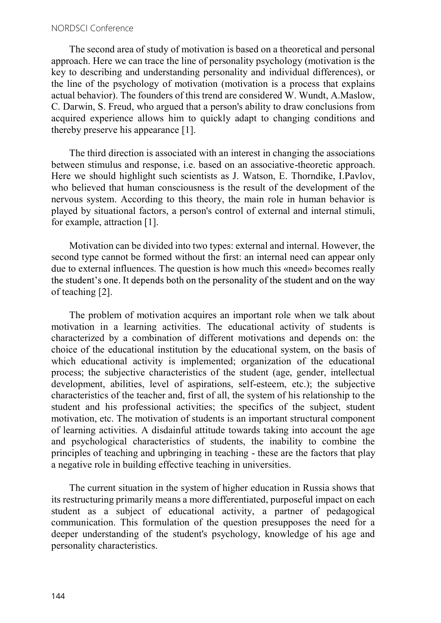The second area of study of motivation is based on a theoretical and personal approach. Here we can trace the line of personality psychology (motivation is the key to describing and understanding personality and individual differences), or the line of the psychology of motivation (motivation is a process that explains actual behavior). The founders of this trend are considered W. Wundt, A.Maslow, C. Darwin, S. Freud, who argued that a person's ability to draw conclusions from acquired experience allows him to quickly adapt to changing conditions and thereby preserve his appearance [1].

The third direction is associated with an interest in changing the associations between stimulus and response, i.e. based on an associative-theoretic approach. Here we should highlight such scientists as J. Watson, E. Thorndike, I.Pavlov, who believed that human consciousness is the result of the development of the nervous system. According to this theory, the main role in human behavior is played by situational factors, a person's control of external and internal stimuli, for example, attraction [1].

Motivation can be divided into two types: external and internal. However, the second type cannot be formed without the first: an internal need can appear only due to external influences. The question is how much this «need» becomes really the student's one. It depends both on the personality of the student and on the way of teaching [2].

The problem of motivation acquires an important role when we talk about motivation in a learning activities. The educational activity of students is characterized by a combination of different motivations and depends on: the choice of the educational institution by the educational system, on the basis of which educational activity is implemented; organization of the educational process; the subjective characteristics of the student (age, gender, intellectual development, abilities, level of aspirations, self-esteem, etc.); the subjective characteristics of the teacher and, first of all, the system of his relationship to the student and his professional activities; the specifics of the subject, student motivation, etc. The motivation of students is an important structural component of learning activities. A disdainful attitude towards taking into account the age and psychological characteristics of students, the inability to combine the principles of teaching and upbringing in teaching - these are the factors that play a negative role in building effective teaching in universities.

The current situation in the system of higher education in Russia shows that its restructuring primarily means a more differentiated, purposeful impact on each student as a subject of educational activity, a partner of pedagogical communication. This formulation of the question presupposes the need for a deeper understanding of the student's psychology, knowledge of his age and personality characteristics.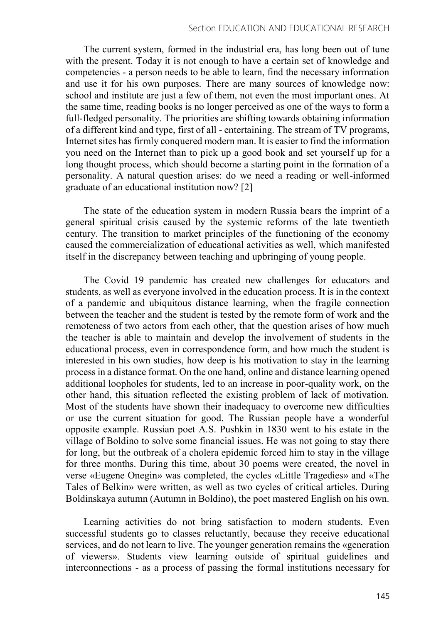The current system, formed in the industrial era, has long been out of tune with the present. Today it is not enough to have a certain set of knowledge and competencies - a person needs to be able to learn, find the necessary information and use it for his own purposes. There are many sources of knowledge now: school and institute are just a few of them, not even the most important ones. At the same time, reading books is no longer perceived as one of the ways to form a full-fledged personality. The priorities are shifting towards obtaining information of a different kind and type, first of all - entertaining. The stream of TV programs, Internet sites has firmly conquered modern man. It is easier to find the information you need on the Internet than to pick up a good book and set yourself up for a long thought process, which should become a starting point in the formation of a personality. A natural question arises: do we need a reading or well-informed graduate of an educational institution now? [2]

The state of the education system in modern Russia bears the imprint of a general spiritual crisis caused by the systemic reforms of the late twentieth century. The transition to market principles of the functioning of the economy caused the commercialization of educational activities as well, which manifested itself in the discrepancy between teaching and upbringing of young people.

The Covid 19 pandemic has created new challenges for educators and students, as well as everyone involved in the education process. It is in the context of a pandemic and ubiquitous distance learning, when the fragile connection between the teacher and the student is tested by the remote form of work and the remoteness of two actors from each other, that the question arises of how much the teacher is able to maintain and develop the involvement of students in the educational process, even in correspondence form, and how much the student is interested in his own studies, how deep is his motivation to stay in the learning process in a distance format. On the one hand, online and distance learning opened additional loopholes for students, led to an increase in poor-quality work, on the other hand, this situation reflected the existing problem of lack of motivation. Most of the students have shown their inadequacy to overcome new difficulties or use the current situation for good. The Russian people have a wonderful opposite example. Russian poet A.S. Pushkin in 1830 went to his estate in the village of Boldino to solve some financial issues. He was not going to stay there for long, but the outbreak of a cholera epidemic forced him to stay in the village for three months. During this time, about 30 poems were created, the novel in verse «Eugene Onegin» was completed, the cycles «Little Tragedies» and «The Tales of Belkin» were written, as well as two cycles of critical articles. During Boldinskaya autumn (Autumn in Boldino), the poet mastered English on his own.

Learning activities do not bring satisfaction to modern students. Even successful students go to classes reluctantly, because they receive educational services, and do not learn to live. The younger generation remains the «generation of viewers». Students view learning outside of spiritual guidelines and interconnections - as a process of passing the formal institutions necessary for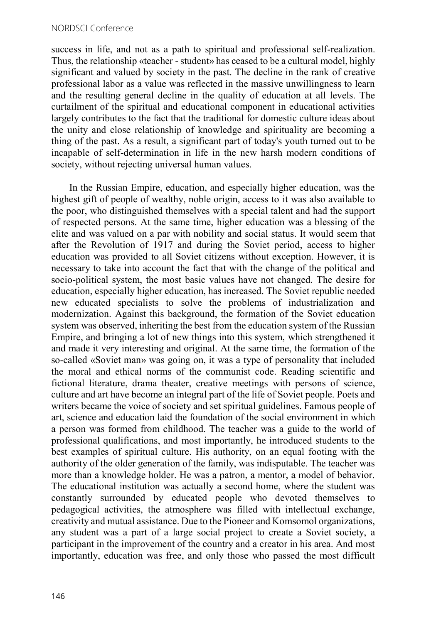#### NORDSCI Conference

success in life, and not as a path to spiritual and professional self-realization. Thus, the relationship «teacher - student» has ceased to be a cultural model, highly significant and valued by society in the past. The decline in the rank of creative professional labor as a value was reflected in the massive unwillingness to learn and the resulting general decline in the quality of education at all levels. The curtailment of the spiritual and educational component in educational activities largely contributes to the fact that the traditional for domestic culture ideas about the unity and close relationship of knowledge and spirituality are becoming a thing of the past. As a result, a significant part of today's youth turned out to be incapable of self-determination in life in the new harsh modern conditions of society, without rejecting universal human values.

In the Russian Empire, education, and especially higher education, was the highest gift of people of wealthy, noble origin, access to it was also available to the poor, who distinguished themselves with a special talent and had the support of respected persons. At the same time, higher education was a blessing of the elite and was valued on a par with nobility and social status. It would seem that after the Revolution of 1917 and during the Soviet period, access to higher education was provided to all Soviet citizens without exception. However, it is necessary to take into account the fact that with the change of the political and socio-political system, the most basic values have not changed. The desire for education, especially higher education, has increased. The Soviet republic needed new educated specialists to solve the problems of industrialization and modernization. Against this background, the formation of the Soviet education system was observed, inheriting the best from the education system of the Russian Empire, and bringing a lot of new things into this system, which strengthened it and made it very interesting and original. At the same time, the formation of the so-called «Soviet man» was going on, it was a type of personality that included the moral and ethical norms of the communist code. Reading scientific and fictional literature, drama theater, creative meetings with persons of science, culture and art have become an integral part of the life of Soviet people. Poets and writers became the voice of society and set spiritual guidelines. Famous people of art, science and education laid the foundation of the social environment in which a person was formed from childhood. The teacher was a guide to the world of professional qualifications, and most importantly, he introduced students to the best examples of spiritual culture. His authority, on an equal footing with the authority of the older generation of the family, was indisputable. The teacher was more than a knowledge holder. He was a patron, a mentor, a model of behavior. The educational institution was actually a second home, where the student was constantly surrounded by educated people who devoted themselves to pedagogical activities, the atmosphere was filled with intellectual exchange, creativity and mutual assistance. Due to the Pioneer and Komsomol organizations, any student was a part of a large social project to create a Soviet society, a participant in the improvement of the country and a creator in his area. And most importantly, education was free, and only those who passed the most difficult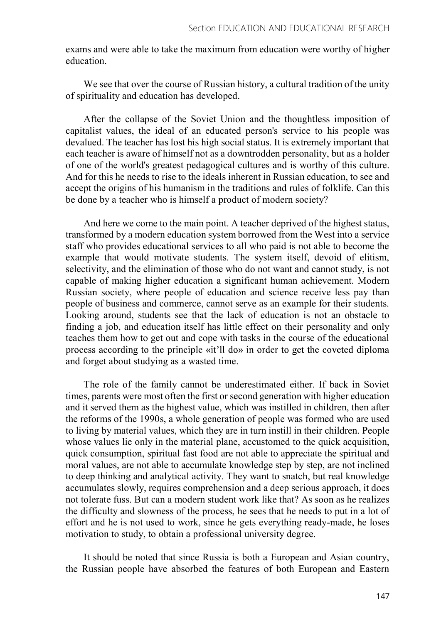exams and were able to take the maximum from education were worthy of higher education.

We see that over the course of Russian history, a cultural tradition of the unity of spirituality and education has developed.

After the collapse of the Soviet Union and the thoughtless imposition of capitalist values, the ideal of an educated person's service to his people was devalued. The teacher has lost his high social status. It is extremely important that each teacher is aware of himself not as a downtrodden personality, but as a holder of one of the world's greatest pedagogical cultures and is worthy of this culture. And for this he needs to rise to the ideals inherent in Russian education, to see and accept the origins of his humanism in the traditions and rules of folklife. Can this be done by a teacher who is himself a product of modern society?

And here we come to the main point. A teacher deprived of the highest status, transformed by a modern education system borrowed from the West into a service staff who provides educational services to all who paid is not able to become the example that would motivate students. The system itself, devoid of elitism, selectivity, and the elimination of those who do not want and cannot study, is not capable of making higher education a significant human achievement. Modern Russian society, where people of education and science receive less pay than people of business and commerce, cannot serve as an example for their students. Looking around, students see that the lack of education is not an obstacle to finding a job, and education itself has little effect on their personality and only teaches them how to get out and cope with tasks in the course of the educational process according to the principle «it'll do» in order to get the coveted diploma and forget about studying as a wasted time.

The role of the family cannot be underestimated either. If back in Soviet times, parents were most often the first or second generation with higher education and it served them as the highest value, which was instilled in children, then after the reforms of the 1990s, a whole generation of people was formed who are used to living by material values, which they are in turn instill in their children. People whose values lie only in the material plane, accustomed to the quick acquisition, quick consumption, spiritual fast food are not able to appreciate the spiritual and moral values, are not able to accumulate knowledge step by step, are not inclined to deep thinking and analytical activity. They want to snatch, but real knowledge accumulates slowly, requires comprehension and a deep serious approach, it does not tolerate fuss. But can a modern student work like that? As soon as he realizes the difficulty and slowness of the process, he sees that he needs to put in a lot of effort and he is not used to work, since he gets everything ready-made, he loses motivation to study, to obtain a professional university degree.

It should be noted that since Russia is both a European and Asian country, the Russian people have absorbed the features of both European and Eastern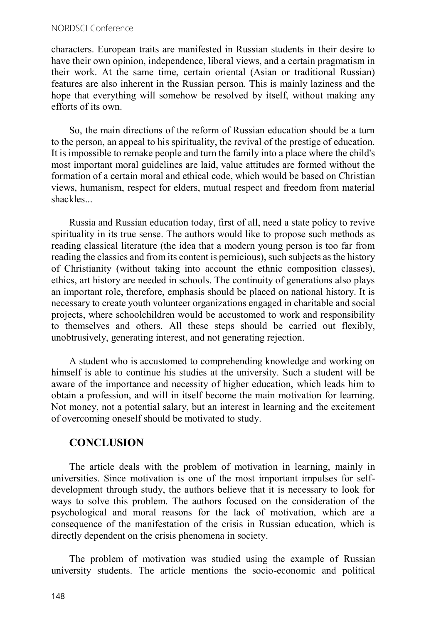#### NORDSCI Conference

characters. European traits are manifested in Russian students in their desire to have their own opinion, independence, liberal views, and a certain pragmatism in their work. At the same time, certain oriental (Asian or traditional Russian) features are also inherent in the Russian person. This is mainly laziness and the hope that everything will somehow be resolved by itself, without making any efforts of its own.

So, the main directions of the reform of Russian education should be a turn to the person, an appeal to his spirituality, the revival of the prestige of education. It is impossible to remake people and turn the family into a place where the child's most important moral guidelines are laid, value attitudes are formed without the formation of a certain moral and ethical code, which would be based on Christian views, humanism, respect for elders, mutual respect and freedom from material shackles...

Russia and Russian education today, first of all, need a state policy to revive spirituality in its true sense. The authors would like to propose such methods as reading classical literature (the idea that a modern young person is too far from reading the classics and from its content is pernicious), such subjects as the history of Christianity (without taking into account the ethnic composition classes), ethics, art history are needed in schools. The continuity of generations also plays an important role, therefore, emphasis should be placed on national history. It is necessary to create youth volunteer organizations engaged in charitable and social projects, where schoolchildren would be accustomed to work and responsibility to themselves and others. All these steps should be carried out flexibly, unobtrusively, generating interest, and not generating rejection.

A student who is accustomed to comprehending knowledge and working on himself is able to continue his studies at the university. Such a student will be aware of the importance and necessity of higher education, which leads him to obtain a profession, and will in itself become the main motivation for learning. Not money, not a potential salary, but an interest in learning and the excitement of overcoming oneself should be motivated to study.

# **CONCLUSION**

The article deals with the problem of motivation in learning, mainly in universities. Since motivation is one of the most important impulses for selfdevelopment through study, the authors believe that it is necessary to look for ways to solve this problem. The authors focused on the consideration of the psychological and moral reasons for the lack of motivation, which are a consequence of the manifestation of the crisis in Russian education, which is directly dependent on the crisis phenomena in society.

The problem of motivation was studied using the example of Russian university students. The article mentions the socio-economic and political